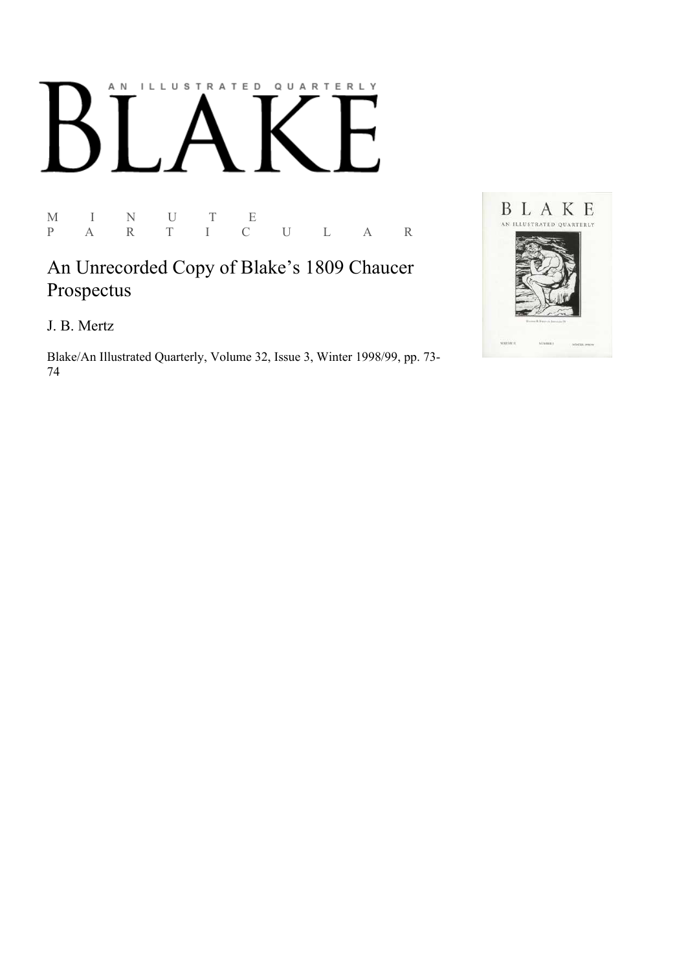## AN ILLUSTRATED QUARTERLY

M I N U T E<br>P A R T I C P A R T I C U L A R

An Unrecorded Copy of Blake's 1809 Chaucer Prospectus

J. B. Mertz

Blake/An Illustrated Quarterly, Volume 32, Issue 3, Winter 1998/99, pp. 73-74

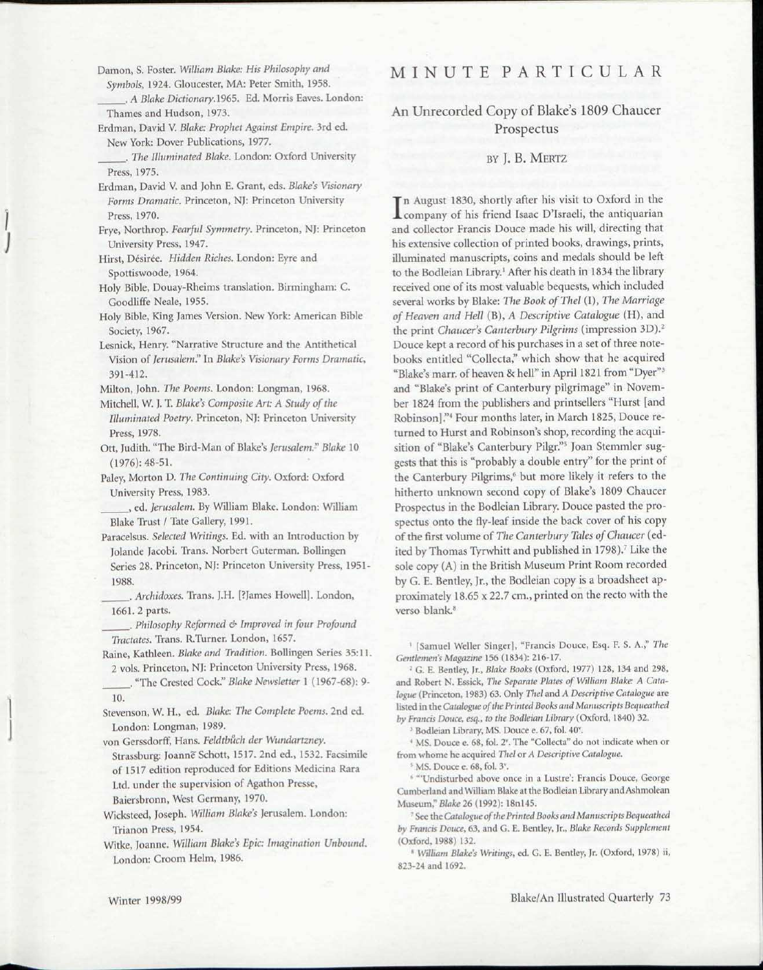Damon, S. Foster. *William Blake: His Philosophy and Symbols,* 1924. Gloucester, MA: Peter Smith, 1958.

. *A Blake Dictionary.* 1965. Ed. Morris Eaves. London: Thames and Hudson, 1973.

Erdman, David V. *Blake: Prophet Against Empire.* 3rd ed. New York: Dover Publications, 1977.

. *The Illuminated Blake.* London: Oxford University Press, 1975.

Erdman, David V. and John E. Grant, eds. *Blake's Visionary Forms Dramatic.* Princeton, NJ: Princeton University Press, 1970.

- Frye, Northrop. *Fearful Symmetry.* Princeton, NJ: Princeton University Press, 1947.
- Hirst, Desiree. *Hidden Riches.* London: Eyre and Spottiswoode, 1964.

Holy Bible, Douay-Rheims translation. Birmingham: C. Goodliffe Neale, 1955.

- Holy Bible, King James Version. New York: American Bible Society, 1967.
- Lesnick, Henry. "Narrative Structure and the Antithetical Vision of *Jerusalem"* In *Blake's Visionary Forms Dramatic,*  391-412.

Milton, John. *The Poems.* London: Longman, 1968.

Mitchell, W. J. T. *Blake's Composite Art. A Study of the Illuminated Poetry.* Princeton, NJ: Princeton University Press, 1978.

Ott, Judith. "The Bird-Man of Blake's *Jerusalem." Blake* 10 (1976): 48-51.

Paley, Morton D. *The Continuing City.* Oxford: Oxford University Press, 1983.

, ed. *Jerusalem.* By William Blake. London: William Blake Trust / Tate Gallery, 1991.

- Paracelsus. *Selected Writings.* Ed. with an Introduction by Jolande Jacobi. Trans. Norbert Guterman. Bollingen Series 28. Princeton, NJ: Princeton University Press, 1951- 1988.
- . *Archidoxes.* Trans. J.H. [?James Howell]. London, 1661. 2 parts.
- . *Philosophy Reformed & Improved in four Profound Tractates.* Trans. R.Turner. London, 1657.

Paine, Kathleen. *Blake and Tradition.* Bollingen Series 35:11. 2 vols. Princeton, NJ: Princeton University Press, 1968.

. "The Crested Cock." *Blake Newsletter* 1 (1967-68): 9- 10.

Stevenson, W H., ed. *Blake: The Complete Poems.* 2nd ed. London: Longman, 1989.

von Gerssdorff, Hans. *Feldtbuch der Wundartzney.*  Strassburg: Joanne Schott, 1517. 2nd ed., 1532. Facsimile of 1517 edition reproduced for Editions Medicina Rara Ltd. under the supervision of Agathon Presse, Baiersbronn, West Germany, 1970.

Wicksteed, Joseph. *William Blake's* Jerusalem. London: Trianon Press, 1954.

Witke, Joanne. *William Blake's Epic: Imagination Unbound.*  London: Croom Helm, 1986.

## MINUT E PARTICULA R

An Unrecorded Copy of Blake's 1809 Chaucer Prospectus

## BY J. B. MERTZ

In August 1830, shortly after his visit to Oxford in the<br>Company of his friend Isaac D'Israeli, the antiquarian n August 1830, shortly after his visit to Oxford in the and collector Francis Douce made his will, directing that his extensive collection of printed books, drawings, prints, illuminated manuscripts, coins and medals should be left to the Bodleian Library.<sup>1</sup> After his death in 1834 the library received one of its most valuable bequests, which included several works by Blake: *The Book ofThel* (I), *The Marriage of Heaven and Hell* (B), *A Descriptive Catalogue* (H), and the print *Chaucer's Canterbury Pilgrims* (impression 3D).<sup>2</sup> Douce kept a record of his purchases in a set of three notebooks entitled "Collecta," which show that he acquired "Blake's marr. of heaven & hell" in April 1821 from "Dyer"<sup>3</sup> and "Blake's print of Canterbury pilgrimage" in November 1824 from the publishers and printsellers "Hurst [and Robinson]."<sup>4</sup> Four months later, in March 1825, Douce returned to Hurst and Robinson's shop, recording the acquisition of "Blake's Canterbury Pilgr."<sup>5</sup> Joan Stemmler suggests that this is "probably a double entry" for the print of the Canterbury Pilgrims,<sup>6</sup> but more likely it refers to the hitherto unknown second copy of Blake's 1809 Chaucer Prospectus in the Bodleian Library. Douce pasted the prospectus onto the fly-leaf inside the back cover of his copy of the first volume of *The Canterbury Tales of Chaucer* (edited by Thomas Tyrwhitt and published in 1798).<sup>7</sup> Like the sole copy (A) in the British Museum Print Room recorded by G. E. Bentley, Jr., the Bodleian copy is a broadsheet approximately 18.65 x 22.7 cm., printed on the recto with the verso blank.<sup>8</sup>

1 [Samuel Weller Singer], "Francis Douce, Esq. F. S. A." *The Gentlemen's Magazine* 156 (1834): 216-17.

2 G. E. Bentley, Jr., *Blake Books* (Oxford, 1977) 128, 134 and 298, and Robert N. Essick, *The Separate Plates of William Blake: A Catalogue* (Princeton, 1983) 63. Only *Thel* and *A Descriptive Catalogue* are listed in the *Catalogue of the Printed Books and Manuscripts Bequeathed by Francis Douce, esq., to the Bodleian Library* (Oxford, 1840) 32.

3 Bodleian Library, MS. Douce e. 67, fol. 40°.

<sup>4</sup> MS. Douce e. 68, fol. 2<sup>v</sup>. The "Collecta" do not indicate when or from whome he acquired *Thel* or *A Descriptive Catalogue.* 

<sup>5</sup> MS. Douce e. 68, fol. 3<sup>v</sup>.

<sup>6</sup> "'Undisturbed above once in a Lustre': Francis Douce, George Cumberland and William Blake at the Bodleian Library and Ashmolean Museum," *Blake* 26 (1992): 18nl45.

" See the *Catalogue of the Printed Books and Manuscripts Bequeathed by Francis Douce,* 63, and G. E. Bentley, Jr., *Blake Records Supplement*  (Oxford, 1988) 132.

- *William Blake's Writings,* ed. G. E. Bentley, Jr. (Oxford, 1978) ii, 823-24 and 1692.